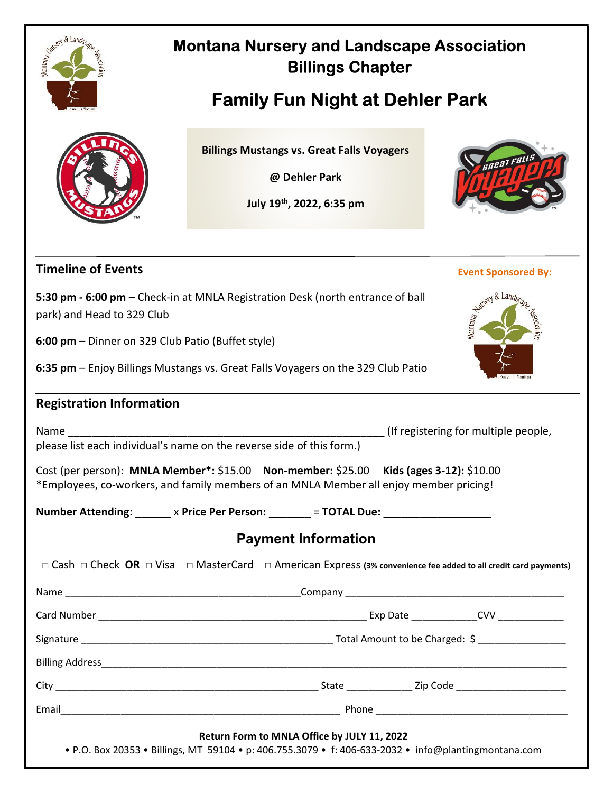

## Montana Nursery and Landscape Association Billings Chapter

# Family Fun Night at Dehler Park

Billings Mustangs vs. Great Falls Voyagers

@ Dehler Park

July 19th, 2022, 6:35 pm



#### Timeline of Events

| <b>5:30 pm - 6:00 pm –</b> Check-in at MNLA Registration Desk (north entrance of ball |  |
|---------------------------------------------------------------------------------------|--|
| park) and Head to 329 Club                                                            |  |

6:00 pm – Dinner on 329 Club Patio (Buffet style)

6:35 pm – Enjoy Billings Mustangs vs. Great Falls Voyagers on the 329 Club Patio

#### Registration Information

Name and the set of the set of the set of the set of the set of the set of the set of the set of the set of the set of the set of the set of the set of the set of the set of the set of the set of the set of the set of the please list each individual's name on the reverse side of this form.)

Cost (per person): MNLA Member\*: \$15.00 Non-member: \$25.00 Kids (ages 3-12): \$10.00 \*Employees, co-workers, and family members of an MNLA Member all enjoy member pricing!

Number Attending: \_\_\_\_\_\_ x Price Per Person: \_\_\_\_\_\_ = TOTAL Due: \_\_\_\_\_\_\_\_\_\_\_\_\_\_\_

### Payment Information

| □ Cash □ Check OR □ Visa □ MasterCard □ American Express (3% convenience fee added to all credit card payments)                                     |  |  |
|-----------------------------------------------------------------------------------------------------------------------------------------------------|--|--|
|                                                                                                                                                     |  |  |
|                                                                                                                                                     |  |  |
|                                                                                                                                                     |  |  |
|                                                                                                                                                     |  |  |
|                                                                                                                                                     |  |  |
|                                                                                                                                                     |  |  |
| Return Form to MNLA Office by JULY 11, 2022<br>• P.O. Box 20353 • Billings, MT 59104 • p: 406.755.3079 • f: 406-633-2032 • info@plantingmontana.com |  |  |

#### Event Sponsored By: